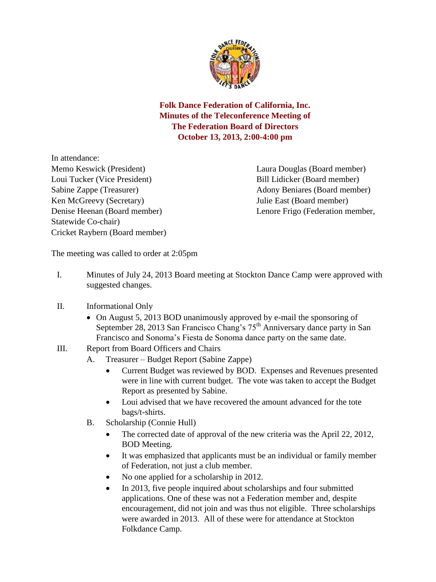

**Folk Dance Federation of California, Inc. Minutes of the Teleconference Meeting of The Federation Board of Directors October 13, 2013, 2:00-4:00 pm** 

In attendance: Memo Keswick (President) Laura Douglas (Board member) Loui Tucker (Vice President) Bill Lidicker (Board member) Ken McGreevy (Secretary) Julie East (Board member) Statewide Co-chair) Cricket Raybern (Board member)

Sabine Zappe (Treasurer) Adony Beniares (Board member) Denise Heenan (Board member) Lenore Frigo (Federation member,

The meeting was called to order at 2:05pm

- I. Minutes of July 24, 2013 Board meeting at Stockton Dance Camp were approved with suggested changes.
- II. Informational Only
	- On August 5, 2013 BOD unanimously approved by e-mail the sponsoring of September 28, 2013 San Francisco Chang's 75<sup>th</sup> Anniversary dance party in San Francisco and Sonoma's Fiesta de Sonoma dance party on the same date.
- III. Report from Board Officers and Chairs
	- A. Treasurer Budget Report (Sabine Zappe)
		- Current Budget was reviewed by BOD. Expenses and Revenues presented were in line with current budget. The vote was taken to accept the Budget Report as presented by Sabine.
		- Loui advised that we have recovered the amount advanced for the tote bags/t-shirts.
	- B. Scholarship (Connie Hull)
		- The corrected date of approval of the new criteria was the April 22, 2012, BOD Meeting.
		- It was emphasized that applicants must be an individual or family member of Federation, not just a club member.
		- No one applied for a scholarship in 2012.
		- In 2013, five people inquired about scholarships and four submitted applications. One of these was not a Federation member and, despite encouragement, did not join and was thus not eligible. Three scholarships were awarded in 2013. All of these were for attendance at Stockton Folkdance Camp.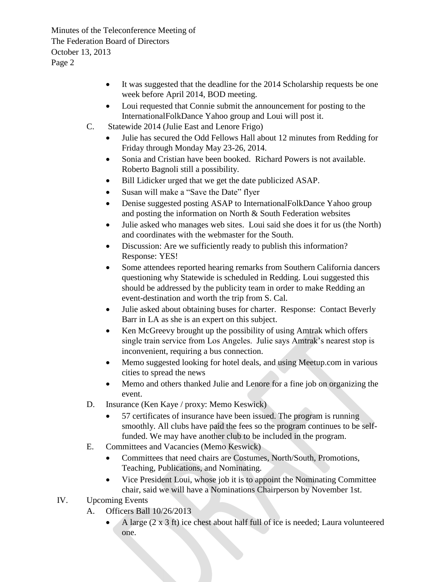Minutes of the Teleconference Meeting of The Federation Board of Directors October 13, 2013 Page 2

- It was suggested that the deadline for the 2014 Scholarship requests be one week before April 2014, BOD meeting.
- Loui requested that Connie submit the announcement for posting to the InternationalFolkDance Yahoo group and Loui will post it.
- C. Statewide 2014 (Julie East and Lenore Frigo)
	- Julie has secured the Odd Fellows Hall about 12 minutes from Redding for Friday through Monday May 23-26, 2014.
	- Sonia and Cristian have been booked. Richard Powers is not available. Roberto Bagnoli still a possibility.
	- Bill Lidicker urged that we get the date publicized ASAP.
	- Susan will make a "Save the Date" flyer
	- Denise suggested posting ASAP to InternationalFolkDance Yahoo group and posting the information on North & South Federation websites
	- Julie asked who manages web sites. Loui said she does it for us (the North) and coordinates with the webmaster for the South.
	- Discussion: Are we sufficiently ready to publish this information? Response: YES!
	- Some attendees reported hearing remarks from Southern California dancers questioning why Statewide is scheduled in Redding. Loui suggested this should be addressed by the publicity team in order to make Redding an event-destination and worth the trip from S. Cal.
	- Julie asked about obtaining buses for charter. Response: Contact Beverly Barr in LA as she is an expert on this subject.
	- Ken McGreevy brought up the possibility of using Amtrak which offers single train service from Los Angeles. Julie says Amtrak's nearest stop is inconvenient, requiring a bus connection.
	- Memo suggested looking for hotel deals, and using Meetup.com in various cities to spread the news
	- Memo and others thanked Julie and Lenore for a fine job on organizing the event.
- D. Insurance (Ken Kaye / proxy: Memo Keswick)
	- 57 certificates of insurance have been issued. The program is running smoothly. All clubs have paid the fees so the program continues to be selffunded. We may have another club to be included in the program.
- E. Committees and Vacancies (Memo Keswick)
	- Committees that need chairs are Costumes, North/South, Promotions, Teaching, Publications, and Nominating.
	- Vice President Loui, whose job it is to appoint the Nominating Committee chair, said we will have a Nominations Chairperson by November 1st.
- IV. Upcoming Events
	- A. Officers Ball 10/26/2013
		- A large  $(2 \times 3 \text{ ft})$  ice chest about half full of ice is needed; Laura volunteered one.